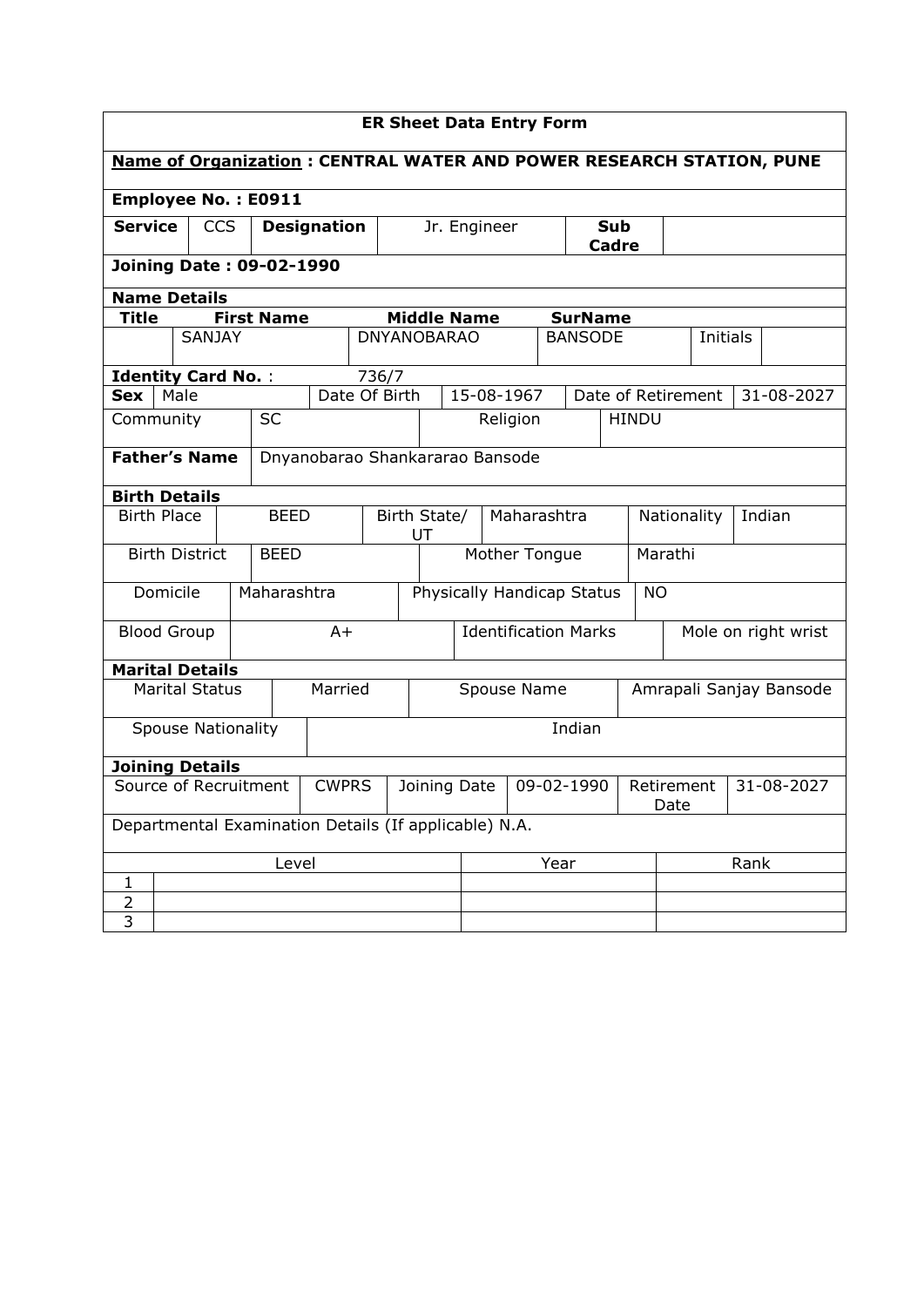| <b>ER Sheet Data Entry Form</b>                                             |                                 |                       |                           |              |               |                    |                    |                             |                    |                            |                            |                         |                    |                    |                     |          |            |            |
|-----------------------------------------------------------------------------|---------------------------------|-----------------------|---------------------------|--------------|---------------|--------------------|--------------------|-----------------------------|--------------------|----------------------------|----------------------------|-------------------------|--------------------|--------------------|---------------------|----------|------------|------------|
| <b>Name of Organization: CENTRAL WATER AND POWER RESEARCH STATION, PUNE</b> |                                 |                       |                           |              |               |                    |                    |                             |                    |                            |                            |                         |                    |                    |                     |          |            |            |
| <b>Employee No.: E0911</b>                                                  |                                 |                       |                           |              |               |                    |                    |                             |                    |                            |                            |                         |                    |                    |                     |          |            |            |
| <b>Service</b><br><b>CCS</b><br><b>Designation</b>                          |                                 |                       |                           |              |               |                    |                    |                             | Jr. Engineer       |                            | <b>Sub</b><br><b>Cadre</b> |                         |                    |                    |                     |          |            |            |
|                                                                             | <b>Joining Date: 09-02-1990</b> |                       |                           |              |               |                    |                    |                             |                    |                            |                            |                         |                    |                    |                     |          |            |            |
| <b>Name Details</b>                                                         |                                 |                       |                           |              |               |                    |                    |                             |                    |                            |                            |                         |                    |                    |                     |          |            |            |
| <b>Title</b>                                                                |                                 |                       | <b>First Name</b>         |              |               |                    |                    |                             | <b>Middle Name</b> |                            |                            | <b>SurName</b>          |                    |                    |                     |          |            |            |
|                                                                             |                                 | <b>SANJAY</b>         |                           |              |               | <b>DNYANOBARAO</b> |                    |                             |                    |                            |                            | <b>BANSODE</b>          |                    |                    |                     | Initials |            |            |
| <b>Identity Card No.:</b>                                                   |                                 |                       |                           |              |               | 736/7              |                    |                             |                    |                            |                            |                         |                    |                    |                     |          |            |            |
| Sex                                                                         | Male                            |                       |                           |              | Date Of Birth |                    |                    |                             | 15-08-1967         |                            |                            |                         |                    | Date of Retirement |                     |          |            | 31-08-2027 |
| Community                                                                   |                                 |                       | <b>SC</b>                 |              |               |                    |                    |                             |                    | Religion                   |                            |                         |                    | <b>HINDU</b>       |                     |          |            |            |
| <b>Father's Name</b><br>Dnyanobarao Shankararao Bansode                     |                                 |                       |                           |              |               |                    |                    |                             |                    |                            |                            |                         |                    |                    |                     |          |            |            |
| <b>Birth Details</b>                                                        |                                 |                       |                           |              |               |                    |                    |                             |                    |                            |                            |                         |                    |                    |                     |          |            |            |
| <b>Birth Place</b>                                                          |                                 |                       |                           | <b>BEED</b>  |               |                    | Birth State/<br>UT |                             |                    |                            | Maharashtra                |                         |                    | Nationality        |                     |          |            | Indian     |
|                                                                             |                                 | <b>Birth District</b> | <b>BEED</b>               |              |               |                    |                    |                             |                    | Mother Tongue              |                            |                         |                    | Marathi            |                     |          |            |            |
|                                                                             | Domicile                        |                       | Maharashtra               |              |               |                    |                    |                             |                    | Physically Handicap Status |                            |                         |                    | <b>NO</b>          |                     |          |            |            |
| <b>Blood Group</b>                                                          |                                 |                       |                           |              | $A+$          |                    |                    | <b>Identification Marks</b> |                    |                            |                            |                         |                    |                    | Mole on right wrist |          |            |            |
| <b>Marital Details</b>                                                      |                                 |                       |                           |              |               |                    |                    |                             |                    |                            |                            |                         |                    |                    |                     |          |            |            |
| Married<br><b>Marital Status</b>                                            |                                 |                       |                           |              |               | Spouse Name        |                    |                             |                    |                            |                            | Amrapali Sanjay Bansode |                    |                    |                     |          |            |            |
|                                                                             |                                 |                       | <b>Spouse Nationality</b> |              |               |                    |                    |                             |                    |                            |                            | Indian                  |                    |                    |                     |          |            |            |
| <b>Joining Details</b>                                                      |                                 |                       |                           |              |               |                    |                    |                             |                    |                            |                            |                         |                    |                    |                     |          |            |            |
| Source of Recruitment                                                       |                                 |                       |                           | <b>CWPRS</b> |               |                    | Joining Date       |                             |                    | 09-02-1990                 |                            |                         | Retirement<br>Date |                    |                     |          | 31-08-2027 |            |
| Departmental Examination Details (If applicable) N.A.                       |                                 |                       |                           |              |               |                    |                    |                             |                    |                            |                            |                         |                    |                    |                     |          |            |            |
|                                                                             |                                 | Level                 |                           |              |               | Year               |                    |                             |                    |                            |                            | Rank                    |                    |                    |                     |          |            |            |
| 1                                                                           |                                 |                       |                           |              |               |                    |                    |                             |                    |                            |                            |                         |                    |                    |                     |          |            |            |
| $\overline{2}$                                                              |                                 |                       |                           |              |               |                    |                    |                             |                    |                            |                            |                         |                    |                    |                     |          |            |            |
| 3                                                                           |                                 |                       |                           |              |               |                    |                    |                             |                    |                            |                            |                         |                    |                    |                     |          |            |            |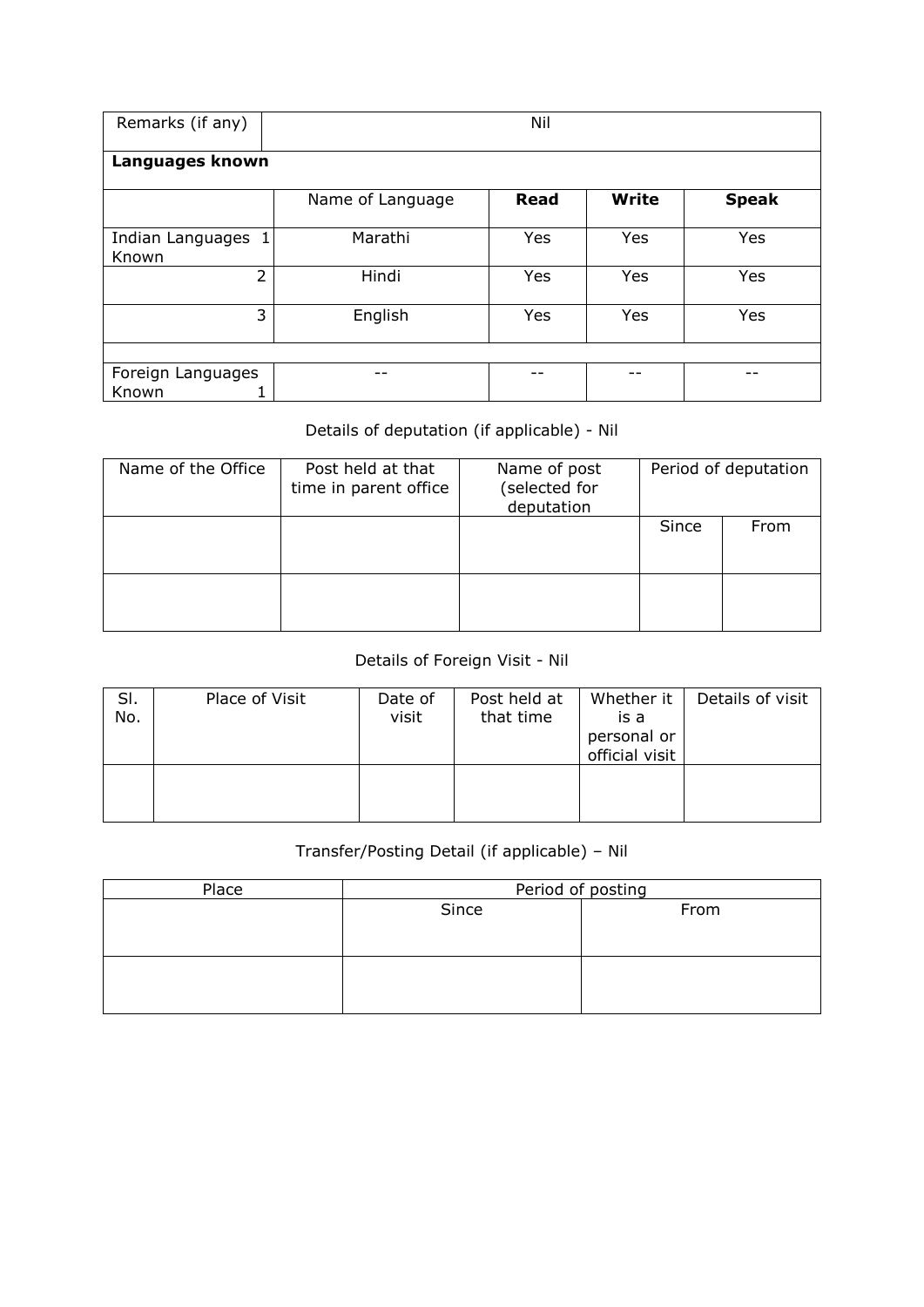| Remarks (if any)           | Nil              |             |              |              |  |  |  |  |  |  |
|----------------------------|------------------|-------------|--------------|--------------|--|--|--|--|--|--|
| Languages known            |                  |             |              |              |  |  |  |  |  |  |
|                            | Name of Language | <b>Read</b> | <b>Write</b> | <b>Speak</b> |  |  |  |  |  |  |
| Indian Languages<br>Known  | Marathi          | Yes         | Yes          | Yes          |  |  |  |  |  |  |
| $\overline{2}$             | Hindi            | Yes         | Yes          | Yes          |  |  |  |  |  |  |
| 3                          | English          | Yes         | Yes          | Yes          |  |  |  |  |  |  |
|                            |                  |             |              |              |  |  |  |  |  |  |
| Foreign Languages<br>Known |                  |             |              |              |  |  |  |  |  |  |

## Details of deputation (if applicable) - Nil

| Name of the Office | Post held at that<br>time in parent office | Name of post<br>(selected for<br>deputation | Period of deputation |      |  |  |
|--------------------|--------------------------------------------|---------------------------------------------|----------------------|------|--|--|
|                    |                                            |                                             | Since                | From |  |  |
|                    |                                            |                                             |                      |      |  |  |

## Details of Foreign Visit - Nil

| SI.<br>No. | Place of Visit | Date of<br>visit | Post held at<br>that time | Whether it<br>is a<br>personal or<br>official visit | Details of visit |
|------------|----------------|------------------|---------------------------|-----------------------------------------------------|------------------|
|            |                |                  |                           |                                                     |                  |

## Transfer/Posting Detail (if applicable) – Nil

| Place | Period of posting |      |  |  |  |  |  |
|-------|-------------------|------|--|--|--|--|--|
|       | Since             | From |  |  |  |  |  |
|       |                   |      |  |  |  |  |  |
|       |                   |      |  |  |  |  |  |
|       |                   |      |  |  |  |  |  |
|       |                   |      |  |  |  |  |  |
|       |                   |      |  |  |  |  |  |